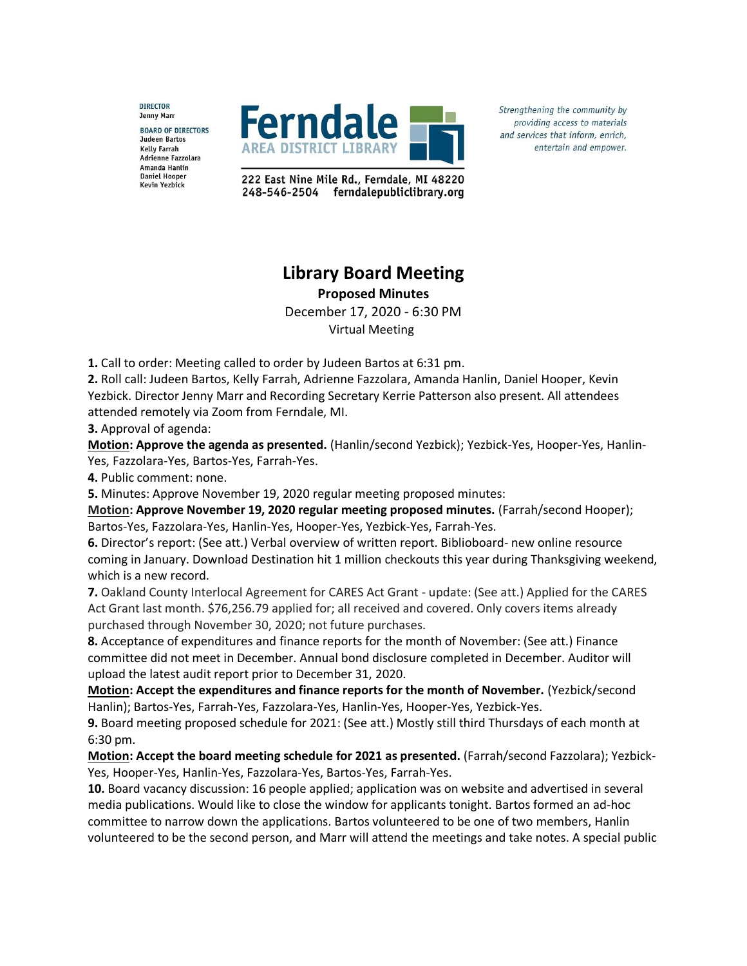**DIRECTOR Jenny Marr BOARD OF DIRECTORS Judeen Bartos Kelly Farrah** Adrienne Fazzolara Amanda Hanlin **Daniel Hooper Kevin Yezbick** 



Strengthening the community by providing access to materials and services that inform, enrich, entertain and empower.

222 East Nine Mile Rd., Ferndale, MI 48220 248-546-2504 ferndalepubliclibrary.org

## **Library Board Meeting**

**Proposed Minutes**

December 17, 2020 - 6:30 PM Virtual Meeting

**1.** Call to order: Meeting called to order by Judeen Bartos at 6:31 pm.

**2.** Roll call: Judeen Bartos, Kelly Farrah, Adrienne Fazzolara, Amanda Hanlin, Daniel Hooper, Kevin Yezbick. Director Jenny Marr and Recording Secretary Kerrie Patterson also present. All attendees attended remotely via Zoom from Ferndale, MI.

**3.** Approval of agenda:

**Motion: Approve the agenda as presented.** (Hanlin/second Yezbick); Yezbick-Yes, Hooper-Yes, Hanlin-Yes, Fazzolara-Yes, Bartos-Yes, Farrah-Yes.

**4.** Public comment: none.

**5.** Minutes: Approve November 19, 2020 regular meeting proposed minutes:

**Motion: Approve November 19, 2020 regular meeting proposed minutes.** (Farrah/second Hooper); Bartos-Yes, Fazzolara-Yes, Hanlin-Yes, Hooper-Yes, Yezbick-Yes, Farrah-Yes.

**6.** Director's report: (See att.) Verbal overview of written report. Biblioboard- new online resource coming in January. Download Destination hit 1 million checkouts this year during Thanksgiving weekend, which is a new record.

**7.** Oakland County Interlocal Agreement for CARES Act Grant - update: (See att.) Applied for the CARES Act Grant last month. \$76,256.79 applied for; all received and covered. Only covers items already purchased through November 30, 2020; not future purchases.

**8.** Acceptance of expenditures and finance reports for the month of November: (See att.) Finance committee did not meet in December. Annual bond disclosure completed in December. Auditor will upload the latest audit report prior to December 31, 2020.

**Motion: Accept the expenditures and finance reports for the month of November.** (Yezbick/second Hanlin); Bartos-Yes, Farrah-Yes, Fazzolara-Yes, Hanlin-Yes, Hooper-Yes, Yezbick-Yes.

**9.** Board meeting proposed schedule for 2021: (See att.) Mostly still third Thursdays of each month at 6:30 pm.

**Motion: Accept the board meeting schedule for 2021 as presented.** (Farrah/second Fazzolara); Yezbick-Yes, Hooper-Yes, Hanlin-Yes, Fazzolara-Yes, Bartos-Yes, Farrah-Yes.

**10.** Board vacancy discussion: 16 people applied; application was on website and advertised in several media publications. Would like to close the window for applicants tonight. Bartos formed an ad-hoc committee to narrow down the applications. Bartos volunteered to be one of two members, Hanlin volunteered to be the second person, and Marr will attend the meetings and take notes. A special public